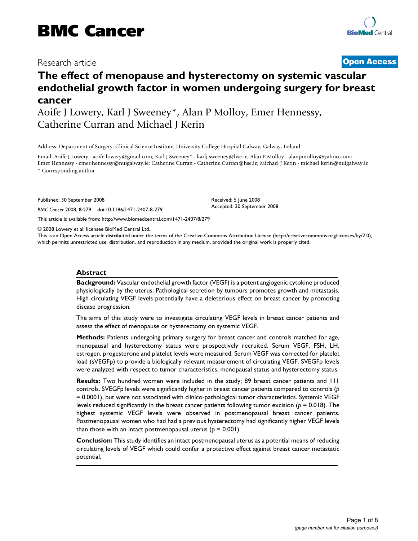## Research article **[Open Access](http://www.biomedcentral.com/info/about/charter/)**

# **The effect of menopause and hysterectomy on systemic vascular endothelial growth factor in women undergoing surgery for breast cancer**

Aoife J Lowery, Karl J Sweeney\*, Alan P Molloy, Emer Hennessy, Catherine Curran and Michael J Kerin

Address: Department of Surgery, Clinical Science Institute, University College Hospital Galway, Galway, Ireland

Email: Aoife J Lowery - aoife.lowery@gmail.com; Karl J Sweeney\* - karlj.sweeney@hse.ie; Alan P Molloy - alanpmolloy@yahoo.com; Emer Hennessy - emer.hennessy@nuigalway.ie; Catherine Curran - Catherine.Curran@hse.ie; Michael J Kerin - michael.kerin@nuigalway.ie \* Corresponding author

Published: 30 September 2008

*BMC Cancer* 2008, **8**:279 doi:10.1186/1471-2407-8-279

[This article is available from: http://www.biomedcentral.com/1471-2407/8/279](http://www.biomedcentral.com/1471-2407/8/279)

© 2008 Lowery et al; licensee BioMed Central Ltd.

This is an Open Access article distributed under the terms of the Creative Commons Attribution License [\(http://creativecommons.org/licenses/by/2.0\)](http://creativecommons.org/licenses/by/2.0), which permits unrestricted use, distribution, and reproduction in any medium, provided the original work is properly cited.

Received: 5 June 2008 Accepted: 30 September 2008

#### **Abstract**

**Background:** Vascular endothelial growth factor (VEGF) is a potent angiogenic cytokine produced physiologically by the uterus. Pathological secretion by tumours promotes growth and metastasis. High circulating VEGF levels potentially have a deleterious effect on breast cancer by promoting disease progression.

The aims of this study were to investigate circulating VEGF levels in breast cancer patients and assess the effect of menopause or hysterectomy on systemic VEGF.

**Methods:** Patients undergoing primary surgery for breast cancer and controls matched for age, menopausal and hysterectomy status were prospectively recruited. Serum VEGF, FSH, LH, estrogen, progesterone and platelet levels were measured. Serum VEGF was corrected for platelet load (sVEGFp) to provide a biologically relevant measurement of circulating VEGF. SVEGFp levels were analyzed with respect to tumor characteristics, menopausal status and hysterectomy status.

**Results:** Two hundred women were included in the study; 89 breast cancer patients and 111 controls. SVEGFp levels were significantly higher in breast cancer patients compared to controls (*p* = 0.0001), but were not associated with clinico-pathological tumor characteristics. Systemic VEGF levels reduced significantly in the breast cancer patients following tumor excision (*p* = 0.018). The highest systemic VEGF levels were observed in postmenopausal breast cancer patients. Postmenopausal women who had had a previous hysterectomy had significantly higher VEGF levels than those with an intact postmenopausal uterus ( $p = 0.001$ ).

**Conclusion:** This study identifies an intact postmenopausal uterus as a potential means of reducing circulating levels of VEGF which could confer a protective effect against breast cancer metastatic potential.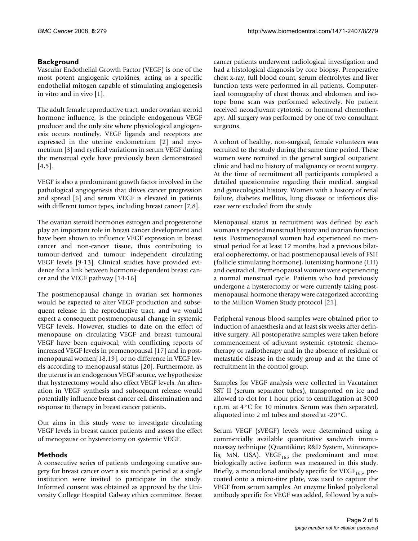### **Background**

Vascular Endothelial Growth Factor (VEGF) is one of the most potent angiogenic cytokines, acting as a specific endothelial mitogen capable of stimulating angiogenesis in vitro and in vivo [1].

The adult female reproductive tract, under ovarian steroid hormone influence, is the principle endogenous VEGF producer and the only site where physiological angiogenesis occurs routinely. VEGF ligands and receptors are expressed in the uterine endometrium [2] and myometrium [3] and cyclical variations in serum VEGF during the menstrual cycle have previously been demonstrated [4,5].

VEGF is also a predominant growth factor involved in the pathological angiogenesis that drives cancer progression and spread [6] and serum VEGF is elevated in patients with different tumor types, including breast cancer [7,8].

The ovarian steroid hormones estrogen and progesterone play an important role in breast cancer development and have been shown to influence VEGF expression in breast cancer and non-cancer tissue, thus contributing to tumour-derived and tumour independent circulating VEGF levels [9-13]. Clinical studies have provided evidence for a link between hormone-dependent breast cancer and the VEGF pathway [14-16]

The postmenopausal change in ovarian sex hormones would be expected to alter VEGF production and subsequent release in the reproductive tract, and we would expect a consequent postmenopausal change in systemic VEGF levels. However, studies to date on the effect of menopause on circulating VEGF and breast tumoural VEGF have been equivocal; with conflicting reports of increased VEGF levels in premenopausal [17] and in postmenopausal women[18,19], or no difference in VEGF levels according to menopausal status [20]. Furthermore, as the uterus is an endogenous VEGF source, we hypothesize that hysterectomy would also effect VEGF levels. An alteration in VEGF synthesis and subsequent release would potentially influence breast cancer cell dissemination and response to therapy in breast cancer patients.

Our aims in this study were to investigate circulating VEGF levels in breast cancer patients and assess the effect of menopause or hysterectomy on systemic VEGF.

#### **Methods**

A consecutive series of patients undergoing curative surgery for breast cancer over a six month period at a single institution were invited to participate in the study. Informed consent was obtained as approved by the University College Hospital Galway ethics committee. Breast cancer patients underwent radiological investigation and had a histological diagnosis by core biopsy. Preoperative chest x-ray, full blood count, serum electrolytes and liver function tests were performed in all patients. Computerized tomography of chest thorax and abdomen and isotope bone scan was performed selectively. No patient received neoadjuvant cytotoxic or hormonal chemotherapy. All surgery was performed by one of two consultant surgeons.

A cohort of healthy, non-surgical, female volunteers was recruited to the study during the same time period. These women were recruited in the general surgical outpatient clinic and had no history of malignancy or recent surgery. At the time of recruitment all participants completed a detailed questionnaire regarding their medical, surgical and gynecological history. Women with a history of renal failure, diabetes mellitus, lung disease or infectious disease were excluded from the study

Menopausal status at recruitment was defined by each woman's reported menstrual history and ovarian function tests. Postmenopausal women had experienced no menstrual period for at least 12 months, had a previous bilateral oopherectomy, or had postmenopausal levels of FSH (follicle stimulating hormone), lutenizing hormone (LH) and oestradiol. Premenopausal women were experiencing a normal menstrual cycle. Patients who had previously undergone a hysterectomy or were currently taking postmenopausal hormone therapy were categorized according to the Million Women Study protocol [21].

Peripheral venous blood samples were obtained prior to induction of anaesthesia and at least six weeks after definitive surgery. All postoperative samples were taken before commencement of adjuvant systemic cytotoxic chemotherapy or radiotherapy and in the absence of residual or metastatic disease in the study group and at the time of recruitment in the control group.

Samples for VEGF analysis were collected in Vacutainer SST II (serum separator tubes), transported on ice and allowed to clot for 1 hour prior to centrifugation at 3000 r.p.m. at 4°C for 10 minutes. Serum was then separated, aliquoted into 2 ml tubes and stored at -20°C.

Serum VEGF (sVEGF) levels were determined using a commercially available quantitative sandwich immunoassay technique (Quantikine; R&D System, Minneapolis, MN, USA). VEGF<sub>165</sub> the predominant and most biologically active isoform was measured in this study. Briefly, a monoclonal antibody specific for VEGF<sub>165</sub>, precoated onto a micro-titre plate, was used to capture the VEGF from serum samples. An enzyme linked polyclonal antibody specific for VEGF was added, followed by a sub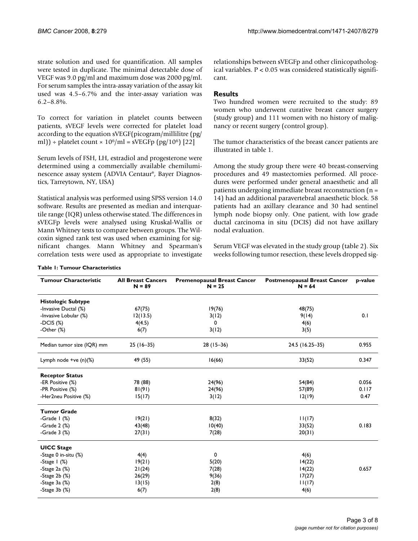strate solution and used for quantification. All samples were tested in duplicate. The minimal detectable dose of VEGF was 9.0 pg/ml and maximum dose was 2000 pg/ml. For serum samples the intra-assay variation of the assay kit used was 4.5–6.7% and the inter-assay variation was 6.2–8.8%.

To correct for variation in platelet counts between patients, sVEGF levels were corrected for platelet load according to the equation sVEGF(picogram/millilitre (pg/ ml)) ÷ platelet count ×  $10^6$ /ml = sVEGFp (pg/10<sup>6</sup>) [22]

Serum levels of FSH, LH, estradiol and progesterone were determined using a commercially available chemiluminescence assay system (ADVIA Centaur®, Bayer Diagnostics, Tarreytown, NY, USA)

Statistical analysis was performed using SPSS version 14.0 software. Results are presented as median and interquartile range (IQR) unless otherwise stated. The differences in sVEGFp levels were analysed using Kruskal-Wallis or Mann Whitney tests to compare between groups. The Wilcoxin signed rank test was used when examining for significant changes. Mann Whitney and Spearman's correlation tests were used as appropriate to investigate relationships between sVEGFp and other clinicopathological variables. P < 0.05 was considered statistically significant.

#### **Results**

Two hundred women were recruited to the study: 89 women who underwent curative breast cancer surgery (study group) and 111 women with no history of malignancy or recent surgery (control group).

The tumor characteristics of the breast cancer patients are illustrated in table 1.

Among the study group there were 40 breast-conserving procedures and 49 mastectomies performed. All procedures were performed under general anaesthetic and all patients undergoing immediate breast reconstruction (n = 14) had an additional paravertebral anaesthetic block. 58 patients had an axillary clearance and 30 had sentinel lymph node biopsy only. One patient, with low grade ductal carcinoma in situ (DCIS) did not have axillary nodal evaluation.

Serum VEGF was elevated in the study group (table 2). Six weeks following tumor resection, these levels dropped sig-

#### **Table 1: Tumour Characteristics**

| <b>Tumour Characteristic</b> | <b>All Breast Cancers</b><br>$N = 89$ | <b>Premenopausal Breast Cancer</b><br>$N = 25$ | <b>Postmenopausal Breast Cancer</b><br>$N = 64$ | p-value |
|------------------------------|---------------------------------------|------------------------------------------------|-------------------------------------------------|---------|
| <b>Histologic Subtype</b>    |                                       |                                                |                                                 |         |
| -Invasive Ductal (%)         | 67(75)                                | 19(76)                                         | 48(75)                                          |         |
| -Invasive Lobular (%)        | 12(13.5)                              | 3(12)                                          | 9(14)                                           | 0.1     |
| -DCIS $(%)$                  | 4(4.5)                                | 0                                              | 4(6)                                            |         |
| -Other $(\%)$                | 6(7)                                  | 3(12)                                          | 3(5)                                            |         |
| Median tumor size (IQR) mm   | $25(16-35)$                           | $28(15-36)$                                    | 24.5 (16.25-35)                                 | 0.955   |
| Lymph node +ve $(n)(%)$      | 49 (55)                               | 16(66)                                         | 33(52)                                          | 0.347   |
| <b>Receptor Status</b>       |                                       |                                                |                                                 |         |
| -ER Positive (%)             | 78 (88)                               | 24(96)                                         | 54(84)                                          | 0.056   |
| -PR Positive (%)             | 81(91)                                | 24(96)                                         | 57(89)                                          | 0.117   |
| -Her2neu Positive (%)        | 15(17)                                | 3(12)                                          | 12(19)                                          | 0.47    |
| <b>Tumor Grade</b>           |                                       |                                                |                                                 |         |
| -Grade $\mid$ (%)            | 19(21)                                | 8(32)                                          | 11(17)                                          |         |
| -Grade $2$ $%$               | 43(48)                                | 10(40)                                         | 33(52)                                          | 0.183   |
| -Grade $3$ $%$               | 27(31)                                | 7(28)                                          | 20(31)                                          |         |
| <b>UICC Stage</b>            |                                       |                                                |                                                 |         |
| -Stage 0 in-situ (%)         | 4(4)                                  | 0                                              | 4(6)                                            |         |
| -Stage $\mid$ (%)            | 19(21)                                | 5(20)                                          | 14(22)                                          |         |
| -Stage $2a$ $(\%)$           | 21(24)                                | 7(28)                                          | 14(22)                                          | 0.657   |
| -Stage 2b $(%)$              | 26(29)                                | 9(36)                                          | 17(27)                                          |         |
| -Stage 3a (%)                | 13(15)                                | 2(8)                                           | 11(17)                                          |         |
| -Stage $3b$ $(\%)$           | 6(7)                                  | 2(8)                                           | 4(6)                                            |         |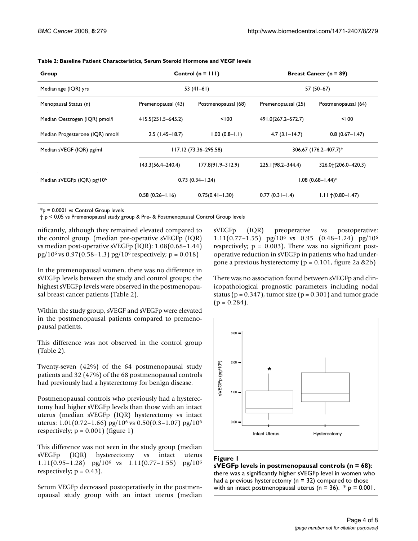| Group                                  | Control $(n = 111)$<br>53 $(41-61)$ |                       | <b>Breast Cancer (n = 89)</b><br>57 (50 - 67) |                         |
|----------------------------------------|-------------------------------------|-----------------------|-----------------------------------------------|-------------------------|
| Median age (IQR) yrs                   |                                     |                       |                                               |                         |
| Menopausal Status (n)                  | Premenopausal (43)                  | Postmenopausal (68)   | Premenopausal (25)                            | Postmenopausal (64)     |
| Median Oestrogen (IQR) pmol/l          | $415.5(251.5 - 645.2)$              | < 100                 | 491.0(267.2–572.7)                            | < 100                   |
| Median Progesterone (IQR) nmol/l       | $2.5$ (1.45–18.7)                   | $1.00(0.8-1.1)$       | $4.7(3.1 - 14.7)$                             | $0.8(0.67 - 1.47)$      |
| Median sVEGF (IQR) pg/ml               | 117.12 (73.36-295.58)               |                       | 306.67 (176.2-407.7)*                         |                         |
|                                        | $143.3(56.4 - 240.4)$               | $177.8(91.9 - 312.9)$ | 225.1(98.2–344.4)                             | 326.0 + (206.0 - 420.3) |
| Median sVEGFp (IQR) pg/10 <sup>6</sup> | $0.73(0.34 - 1.24)$                 |                       | $1.08$ (0.68-1.44) <sup>*</sup>               |                         |
|                                        | $0.58(0.26 - 1.16)$                 | $0.75(0.41 - 1.30)$   | $0.77(0.31 - 1.4)$                            | $1.11 + (0.80 - 1.47)$  |

#### **Table 2: Baseline Patient Characteristics, Serum Steroid Hormone and VEGF levels**

\*p = 0.0001 vs Control Group levels

**†** p < 0.05 vs Premenopausal study group & Pre- & Postmenopausal Control Group levels

nificantly, although they remained elevated compared to the control group. (median pre-operative sVEGFp (IQR) vs median post-operative sVEGFp (IQR): 1.08(0.68–1.44) pg/10<sup>6</sup> vs 0.97(0.58–1.3) pg/10<sup>6</sup> respectively; p = 0.018)

In the premenopausal women, there was no difference in sVEGFp levels between the study and control groups; the highest sVEGFp levels were observed in the postmenopausal breast cancer patients (Table 2).

Within the study group, sVEGF and sVEGFp were elevated in the postmenopausal patients compared to premenopausal patients.

This difference was not observed in the control group (Table 2).

Twenty-seven (42%) of the 64 postmenopausal study patients and 32 (47%) of the 68 postmenopausal controls had previously had a hysterectomy for benign disease.

Postmenopausal controls who previously had a hysterectomy had higher sVEGFp levels than those with an intact uterus (median sVEGFp (IQR) hysterectomy vs intact uterus:  $1.01(0.72-1.66)$  pg/ $10<sup>6</sup>$  vs  $0.50(0.3-1.07)$  pg/ $10<sup>6</sup>$ respectively;  $p = 0.001$ ) (figure 1)

This difference was not seen in the study group (median sVEGFp (IQR) hysterectomy vs intact uterus 1.11(0.95–1.28) pg/106 vs 1.11(0.77–1.55) pg/106 respectively;  $p = 0.43$ ).

Serum VEGFp decreased postoperatively in the postmenopausal study group with an intact uterus (median

sVEGFp (IQR) preoperative vs postoperative: 1.11(0.77–1.55) pg/10<sup>6</sup> vs 0.95 (0.48–1.24) pg/10<sup>6</sup> respectively;  $p = 0.003$ ). There was no significant postoperative reduction in sVEGFp in patients who had undergone a previous hysterectomy ( $p = 0.101$ , figure 2a &2b)

There was no association found between sVEGFp and clinicopathological prognostic parameters including nodal status ( $p = 0.347$ ), tumor size ( $p = 0.301$ ) and tumor grade  $(p = 0.284)$ .



#### **Figure 1**

**sVEGFp levels in postmenopausal controls (n = 68)**: there was a significantly higher sVEGFp level in women who had a previous hysterectomy ( $n = 32$ ) compared to those with an intact postmenopausal uterus ( $n = 36$ ).  $* p = 0.001$ .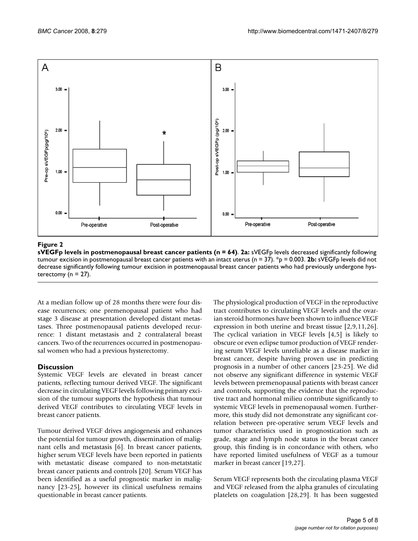

#### **Figure 2**

**sVEGFp levels in postmenopausal breast cancer patients (n = 64)**. **2a:** sVEGFp levels decreased significantly following tumour excision in postmenopausal breast cancer patients with an intact uterus (n = 37). \*p = 0.003. **2b:** sVEGFp levels did not decrease significantly following tumour excision in postmenopausal breast cancer patients who had previously undergone hysterectomy ( $n = 27$ ).

At a median follow up of 28 months there were four disease recurrences; one premenopausal patient who had stage 3 disease at presentation developed distant metastases. Three postmenopausal patients developed recurrence: 1 distant metastasis and 2 contralateral breast cancers. Two of the recurrences occurred in postmenopausal women who had a previous hysterectomy.

#### **Discussion**

Systemic VEGF levels are elevated in breast cancer patients, reflecting tumour derived VEGF. The significant decrease in circulating VEGF levels following primary excision of the tumour supports the hypothesis that tumour derived VEGF contributes to circulating VEGF levels in breast cancer patients.

Tumour derived VEGF drives angiogenesis and enhances the potential for tumour growth, dissemination of malignant cells and metastasis [6]. In breast cancer patients, higher serum VEGF levels have been reported in patients with metastatic disease compared to non-metatstatic breast cancer patients and controls [20]. Serum VEGF has been identified as a useful prognostic marker in malignancy [23-25], however its clinical usefulness remains questionable in breast cancer patients.

The physiological production of VEGF in the reproductive tract contributes to circulating VEGF levels and the ovarian steroid hormones have been shown to influence VEGF expression in both uterine and breast tissue [2,9,11,26]. The cyclical variation in VEGF levels [4,5] is likely to obscure or even eclipse tumor production of VEGF rendering serum VEGF levels unreliable as a disease marker in breast cancer, despite having proven use in predicting prognosis in a number of other cancers [23-25]. We did not observe any significant difference in systemic VEGF levels between premenopausal patients with breast cancer and controls, supporting the evidence that the reproductive tract and hormonal milieu contribute significantly to systemic VEGF levels in premenopausal women. Furthermore, this study did not demonstrate any significant correlation between pre-operative serum VEGF levels and tumor characteristics used in prognostication such as grade, stage and lymph node status in the breast cancer group, this finding is in concordance with others, who have reported limited usefulness of VEGF as a tumour marker in breast cancer [19,27].

Serum VEGF represents both the circulating plasma VEGF and VEGF released from the alpha granules of circulating platelets on coagulation [28,29]. It has been suggested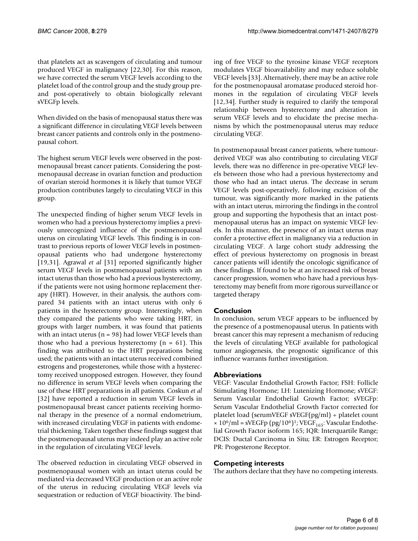that platelets act as scavengers of circulating and tumour produced VEGF in malignancy [22,30]. For this reason, we have corrected the serum VEGF levels according to the platelet load of the control group and the study group preand post-operatively to obtain biologically relevant sVEGFp levels.

When divided on the basis of menopausal status there was a significant difference in circulating VEGF levels between breast cancer patients and controls only in the postmenopausal cohort.

The highest serum VEGF levels were observed in the postmenopausal breast cancer patients. Considering the postmenopausal decrease in ovarian function and production of ovarian steroid hormones it is likely that tumor VEGF production contributes largely to circulating VEGF in this group.

The unexpected finding of higher serum VEGF levels in women who had a previous hysterectomy implies a previously unrecognized influence of the postmenopausal uterus on circulating VEGF levels. This finding is in contrast to previous reports of lower VEGF levels in postmenopausal patients who had undergone hysterectomy [19,31]. Agrawal *et al* [31] reported significantly higher serum VEGF levels in postmenopausal patients with an intact uterus than those who had a previous hysterectomy, if the patients were not using hormone replacement therapy (HRT). However, in their analysis, the authors compared 34 patients with an intact uterus with only 6 patients in the hysterectomy group. Interestingly, when they compared the patients who were taking HRT, in groups with larger numbers, it was found that patients with an intact uterus ( $n = 98$ ) had lower VEGF levels than those who had a previous hysterectomy  $(n = 61)$ . This finding was attributed to the HRT preparations being used; the patients with an intact uterus received combined estrogens and progesterones, while those with a hysterectomy received unopposed estrogen. However, they found no difference in serum VEGF levels when comparing the use of these HRT preparations in all patients. Coskun *et al* [32] have reported a reduction in serum VEGF levels in postmenopausal breast cancer patients receiving hormonal therapy in the presence of a normal endometrium, with increased circulating VEGF in patients with endometrial thickening. Taken together these findings suggest that the postmenopausal uterus may indeed play an active role in the regulation of circulating VEGF levels.

The observed reduction in circulating VEGF observed in postmenopausal women with an intact uterus could be mediated via decreased VEGF production or an active role of the uterus in reducing circulating VEGF levels via sequestration or reduction of VEGF bioactivity. The binding of free VEGF to the tyrosine kinase VEGF receptors modulates VEGF bioavailability and may reduce soluble VEGF levels [33]. Alternatively, there may be an active role for the postmenopausal aromatase produced steroid hormones in the regulation of circulating VEGF levels [12,34]. Further study is required to clarify the temporal relationship between hysterectomy and alteration in serum VEGF levels and to elucidate the precise mechanisms by which the postmenopausal uterus may reduce circulating VEGF.

In postmenopausal breast cancer patients, where tumourderived VEGF was also contributing to circulating VEGF levels, there was no difference in pre-operative VEGF levels between those who had a previous hysterectomy and those who had an intact uterus. The decrease in serum VEGF levels post-operatively, following excision of the tumour, was significantly more marked in the patients with an intact uterus, mirroring the findings in the control group and supporting the hypothesis that an intact postmenopausal uterus has an impact on systemic VEGF levels. In this manner, the presence of an intact uterus may confer a protective effect in malignancy via a reduction in circulating VEGF. A large cohort study addressing the effect of previous hysterectomy on prognosis in breast cancer patients will identify the oncologic significance of these findings. If found to be at an increased risk of breast cancer progression, women who have had a previous hysterectomy may benefit from more rigorous surveillance or targeted therapy

#### **Conclusion**

In conclusion, serum VEGF appears to be influenced by the presence of a postmenopausal uterus. In patients with breast cancer this may represent a mechanism of reducing the levels of circulating VEGF available for pathological tumor angiogenesis, the prognostic significance of this influence warrants further investigation.

#### **Abbreviations**

VEGF: Vascular Endothelial Growth Factor; FSH: Follicle Stimulating Hormone; LH: Lutenizing Hormone; sVEGF: Serum Vascular Endothelial Growth Factor; sVEGFp: Serum Vascular Endothelial Growth Factor corrected for platelet load (serumVEGF sVEGF(pg/ml) ÷ platelet count  $\times 10^6$ /ml = sVEGFp (pg/10<sup>6</sup>)<sup>1</sup>; VEGF<sub>165</sub>: Vascular Endothelial Growth Factor isoform 165; IQR: Interquartile Range; DCIS: Ductal Carcinoma in Situ; ER: Estrogen Receptor; PR: Progesterone Receptor.

#### **Competing interests**

The authors declare that they have no competing interests.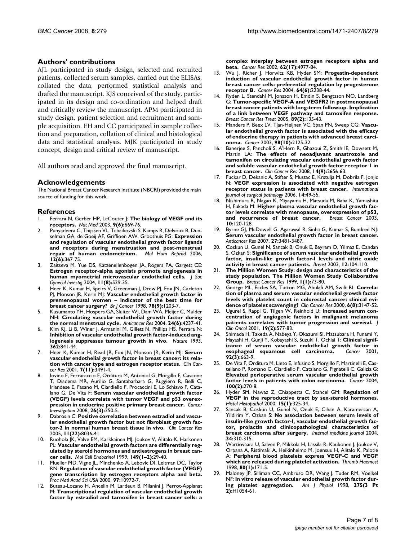#### **Authors' contributions**

AJL participated in study design, selected and recruited patients, collected serum samples, carried out the ELISAs, collated the data, performed statistical analysis and drafted the manuscript. KJS conceived of the study, participated in its design and co-ordination and helped draft and critically review the manuscript. APM participated in study design, patient selection and recruitment and sample acquisition. EH and CC participated in sample collection and preparation, collation of clinical and histological data and statistical analysis. MJK participated in study concept, design and critical review of manuscript.

All authors read and approved the final manuscript.

#### **Acknowledgements**

The National Breast Cancer Research Institute (NBCRI) provided the main source of funding for this work.

#### **References**

- 1. Ferrara N, Gerber HP, LeCouter J: **[The biology of VEGF and its](http://www.ncbi.nlm.nih.gov/entrez/query.fcgi?cmd=Retrieve&db=PubMed&dopt=Abstract&list_uids=12778165) [receptors.](http://www.ncbi.nlm.nih.gov/entrez/query.fcgi?cmd=Retrieve&db=PubMed&dopt=Abstract&list_uids=12778165)** *Nat Med* 2003, **9(6):**669-76.
- 2. Punyadeera C, Thijssen VL, Tchaikovski S, Kamps R, Delvoux B, Dunselman GA, de Goeij AF, Griffioen AW, Groothuis PG: **[Expression](http://www.ncbi.nlm.nih.gov/entrez/query.fcgi?cmd=Retrieve&db=PubMed&dopt=Abstract&list_uids=16648151) [and regulation of vascular endothelial growth factor ligands](http://www.ncbi.nlm.nih.gov/entrez/query.fcgi?cmd=Retrieve&db=PubMed&dopt=Abstract&list_uids=16648151) and receptors during menstruation and post-menstrual [repair of human endometrium.](http://www.ncbi.nlm.nih.gov/entrez/query.fcgi?cmd=Retrieve&db=PubMed&dopt=Abstract&list_uids=16648151)** *Mol Hum Reprod* 2006, **12(6):**367-75.
- 3. Zaitseva M, Yue DS, Katzenellenbogen JA, Rogers PA, Gargett CE: **[Estrogen receptor-alpha agonists promote angiogenesis in](http://www.ncbi.nlm.nih.gov/entrez/query.fcgi?cmd=Retrieve&db=PubMed&dopt=Abstract&list_uids=15582497) [human myometrial microvascular endothelial cells.](http://www.ncbi.nlm.nih.gov/entrez/query.fcgi?cmd=Retrieve&db=PubMed&dopt=Abstract&list_uids=15582497)** *J Soc Gynecol Investig* 2004, **11(8):**529-35.
- 4. Heer K, Kumar H, Speirs V, Greenman J, Drew PJ, Fox JN, Carleton PJ, Monson JR, Kerin MJ: **[Vascular endothelial growth factor in](http://www.ncbi.nlm.nih.gov/entrez/query.fcgi?cmd=Retrieve&db=PubMed&dopt=Abstract&list_uids=9820181) [premenopausal women – indicator of the best time for](http://www.ncbi.nlm.nih.gov/entrez/query.fcgi?cmd=Retrieve&db=PubMed&dopt=Abstract&list_uids=9820181) [breast cancer surgery?](http://www.ncbi.nlm.nih.gov/entrez/query.fcgi?cmd=Retrieve&db=PubMed&dopt=Abstract&list_uids=9820181)** *Br J Cancer* 1998, **78(9):**1203-7.
- 5. Kusumanto YH, Hospers GA, Sluiter WJ, Dam WA, Meijer C, Mulder NH: **[Circulating vascular endothelial growth factor during](http://www.ncbi.nlm.nih.gov/entrez/query.fcgi?cmd=Retrieve&db=PubMed&dopt=Abstract&list_uids=15736478) [the normal menstrual cycle.](http://www.ncbi.nlm.nih.gov/entrez/query.fcgi?cmd=Retrieve&db=PubMed&dopt=Abstract&list_uids=15736478)** *Anticancer Res* 2004, **24(6):**4237-41.
- Kim KJ, Li B, Winer J, Armanini M, Gillett N, Phillips HS, Ferrara N: **[Inhibition of vascular endothelial growth factor-induced ang](http://www.ncbi.nlm.nih.gov/entrez/query.fcgi?cmd=Retrieve&db=PubMed&dopt=Abstract&list_uids=7683111)[iogenesis suppresses tumour growth in vivo.](http://www.ncbi.nlm.nih.gov/entrez/query.fcgi?cmd=Retrieve&db=PubMed&dopt=Abstract&list_uids=7683111)** *Nature* 1993, **362:**841-44.
- 7. Heer K, Kumar H, Read JR, Fox JN, Monson JR, Kerin MJ: **[Serum](http://www.ncbi.nlm.nih.gov/entrez/query.fcgi?cmd=Retrieve&db=PubMed&dopt=Abstract&list_uids=11705867) [vascular endothelial growth factor in breast cancer: its rela](http://www.ncbi.nlm.nih.gov/entrez/query.fcgi?cmd=Retrieve&db=PubMed&dopt=Abstract&list_uids=11705867)[tion with cancer type and estrogen receptor status.](http://www.ncbi.nlm.nih.gov/entrez/query.fcgi?cmd=Retrieve&db=PubMed&dopt=Abstract&list_uids=11705867)** *Clin Cancer Res* 2001, **7(11):**3491-4.
- 8. Iovino F, Ferraraccio F, Orditura M, Antoniol G, Morgillo F, Cascone T, Diadema MR, Aurilio G, Santabarbara G, Ruggiero R, Belli C, Irlandese E, Fasano M, Ciardiello F, Procaccini E, Lo Schiavo F, Catalano G, De Vita F: **[Serum vascular endothelial growth factor](http://www.ncbi.nlm.nih.gov/entrez/query.fcgi?cmd=Retrieve&db=PubMed&dopt=Abstract&list_uids=18317965) [\(VEGF\) levels correlate with tumor VEGF and p53 overex](http://www.ncbi.nlm.nih.gov/entrez/query.fcgi?cmd=Retrieve&db=PubMed&dopt=Abstract&list_uids=18317965)[pression in endocrine positive primary breast cancer.](http://www.ncbi.nlm.nih.gov/entrez/query.fcgi?cmd=Retrieve&db=PubMed&dopt=Abstract&list_uids=18317965)** *Cancer Investigation* 2008, **26(3):**250-5.
- Dabrosin C: [Positive correlation between estradiol and vascu](http://www.ncbi.nlm.nih.gov/entrez/query.fcgi?cmd=Retrieve&db=PubMed&dopt=Abstract&list_uids=16299233)**[lar endothelial growth factor but not fibroblast growth fac](http://www.ncbi.nlm.nih.gov/entrez/query.fcgi?cmd=Retrieve&db=PubMed&dopt=Abstract&list_uids=16299233)[tor-2 in normal human breast tissue in vivo.](http://www.ncbi.nlm.nih.gov/entrez/query.fcgi?cmd=Retrieve&db=PubMed&dopt=Abstract&list_uids=16299233)** *Clin Cancer Res* 2005, **11(22):**8036-41.
- 10. Ruohola JK, Valve EM, Karkkainen MJ, Joukov V, Alitalo K, Harkonen PL: **[Vascular endothelial growth factors are differentially reg](http://www.ncbi.nlm.nih.gov/entrez/query.fcgi?cmd=Retrieve&db=PubMed&dopt=Abstract&list_uids=10375015)[ulated by steroid hormones and antiestrogens in breast can](http://www.ncbi.nlm.nih.gov/entrez/query.fcgi?cmd=Retrieve&db=PubMed&dopt=Abstract&list_uids=10375015)[cer cells.](http://www.ncbi.nlm.nih.gov/entrez/query.fcgi?cmd=Retrieve&db=PubMed&dopt=Abstract&list_uids=10375015)** *Mol Cell Endocrinol* 1999, **149(1–2):**29-40.
- 11. Mueller MD, Vigne JL, Minchenko A, Lebovic DI, Leitman DC, Taylor RN: **[Regulation of vascular endothelial growth factor \(VEGF\)](http://www.ncbi.nlm.nih.gov/entrez/query.fcgi?cmd=Retrieve&db=PubMed&dopt=Abstract&list_uids=10995484) [gene transcription by estrogen receptors alpha and beta.](http://www.ncbi.nlm.nih.gov/entrez/query.fcgi?cmd=Retrieve&db=PubMed&dopt=Abstract&list_uids=10995484)** *Proc Natl Acad Sci USA* 2000, **97:**10972-7.
- 12. Buteau-Lozano H, Ancelin M, Lardeux B, Milanini J, Perrot-Applanat M: **[Transcriptional regulation of vascular endothelial growth](http://www.ncbi.nlm.nih.gov/entrez/query.fcgi?cmd=Retrieve&db=PubMed&dopt=Abstract&list_uids=12208749) [factor by estradiol and tamoxifen in breast cancer cells: a](http://www.ncbi.nlm.nih.gov/entrez/query.fcgi?cmd=Retrieve&db=PubMed&dopt=Abstract&list_uids=12208749)**

**[complex interplay between estrogen receptors alpha and](http://www.ncbi.nlm.nih.gov/entrez/query.fcgi?cmd=Retrieve&db=PubMed&dopt=Abstract&list_uids=12208749) [beta.](http://www.ncbi.nlm.nih.gov/entrez/query.fcgi?cmd=Retrieve&db=PubMed&dopt=Abstract&list_uids=12208749)** *Cancer Res* 2002, **62(17):**4977-84.

- 13. Wu J, Richer J, Horwitz KB, Hyder SM: **[Progestin-dependent](http://www.ncbi.nlm.nih.gov/entrez/query.fcgi?cmd=Retrieve&db=PubMed&dopt=Abstract&list_uids=15026368) [induction of vascular endothelial growth factor in human](http://www.ncbi.nlm.nih.gov/entrez/query.fcgi?cmd=Retrieve&db=PubMed&dopt=Abstract&list_uids=15026368) breast cancer cells: preferential regulation by progesterone [receptor B.](http://www.ncbi.nlm.nih.gov/entrez/query.fcgi?cmd=Retrieve&db=PubMed&dopt=Abstract&list_uids=15026368)** *Cancer Res* 2004, **64(6):**2238-44.
- Ryden L, Stendahl M, Jonsson H, Emdin S, Bengtsson NO, Landberg G: **[Tumor-specific VEGF-A and VEGFR2 in postmenopausal](http://www.ncbi.nlm.nih.gov/entrez/query.fcgi?cmd=Retrieve&db=PubMed&dopt=Abstract&list_uids=15692755) [breast cancer patients with long-term follow-up. Implication](http://www.ncbi.nlm.nih.gov/entrez/query.fcgi?cmd=Retrieve&db=PubMed&dopt=Abstract&list_uids=15692755) of a link between VEGF pathway and tamoxifen response.** *Breast Cancer Res Treat* 2005, **89(2):**135-43.
- 15. Manders P, Beex LV, Tjan-Heijnen VC, Span PN, Sweep CG: **[Vascu](http://www.ncbi.nlm.nih.gov/entrez/query.fcgi?cmd=Retrieve&db=PubMed&dopt=Abstract&list_uids=14601081)[lar endothelial growth factor is associated with the efficacy](http://www.ncbi.nlm.nih.gov/entrez/query.fcgi?cmd=Retrieve&db=PubMed&dopt=Abstract&list_uids=14601081) of endocrine therapy in patients with advanced breast carci[noma.](http://www.ncbi.nlm.nih.gov/entrez/query.fcgi?cmd=Retrieve&db=PubMed&dopt=Abstract&list_uids=14601081)** *Cancer* 2003, **98(10):**2125-32.
- 16. Banerjee S, Pancholi S, A'Hern R, Ghazoui Z, Smith IE, Dowsett M, Martin LA: **[The effects of neoadjuvant anastrozole and](http://www.ncbi.nlm.nih.gov/entrez/query.fcgi?cmd=Retrieve&db=PubMed&dopt=Abstract&list_uids=18451229) [tamoxifen on circulating vascular endothelial growth factor](http://www.ncbi.nlm.nih.gov/entrez/query.fcgi?cmd=Retrieve&db=PubMed&dopt=Abstract&list_uids=18451229) and soluble vascular endothelial growth factor receptor 1 in [breast cancer.](http://www.ncbi.nlm.nih.gov/entrez/query.fcgi?cmd=Retrieve&db=PubMed&dopt=Abstract&list_uids=18451229)** *Clin Cancer Res* 2008, **14(9):**2656-63.
- 17. Fuckar D, Dekanic A, Stifter S, Mustac E, Krstulja M, Dobrila F, Jonjic N: **[VEGF expression is associated with negative estrogen](http://www.ncbi.nlm.nih.gov/entrez/query.fcgi?cmd=Retrieve&db=PubMed&dopt=Abstract&list_uids=16501835) [receptor status in patients with breast cancer.](http://www.ncbi.nlm.nih.gov/entrez/query.fcgi?cmd=Retrieve&db=PubMed&dopt=Abstract&list_uids=16501835)** *International journal of surgical pathology* 2006, **14:**49-55.
- 18. Nishimura R, Nagao K, Miyayama H, Matsuda M, Baba K, Yamashita H, Fukada M: **[Higher plasma vascular endothelial growth fac](http://www.ncbi.nlm.nih.gov/entrez/query.fcgi?cmd=Retrieve&db=PubMed&dopt=Abstract&list_uids=12736564)[tor levels correlate with menopause, overexpression of p53,](http://www.ncbi.nlm.nih.gov/entrez/query.fcgi?cmd=Retrieve&db=PubMed&dopt=Abstract&list_uids=12736564)** [and recurrence of breast cancer.](http://www.ncbi.nlm.nih.gov/entrez/query.fcgi?cmd=Retrieve&db=PubMed&dopt=Abstract&list_uids=12736564) **10:**120-128.
- 19. Byrne GJ, McDowell G, Agarawal R, Sinha G, Kumar S, Bundred NJ: **[Serum vascular endothelial growth factor in breast cancer.](http://www.ncbi.nlm.nih.gov/entrez/query.fcgi?cmd=Retrieve&db=PubMed&dopt=Abstract&list_uids=17972505)** *Anticancer Res* 2007, **27:**3481-3487.
- 20. Coskun U, Gunel N, Sancak B, Onuk E, Bayram O, Yilmaz E, Candan S, Ozkan S: **[Significance of serum vascular endothelial growth](http://www.ncbi.nlm.nih.gov/entrez/query.fcgi?cmd=Retrieve&db=PubMed&dopt=Abstract&list_uids=14659339) [factor, insulin-like growth factor-I levels and nitric oxide](http://www.ncbi.nlm.nih.gov/entrez/query.fcgi?cmd=Retrieve&db=PubMed&dopt=Abstract&list_uids=14659339) [activity in breast cancer patients.](http://www.ncbi.nlm.nih.gov/entrez/query.fcgi?cmd=Retrieve&db=PubMed&dopt=Abstract&list_uids=14659339)** *Breast* 2003, **12:**104-110.
- 21. **[The Million Women Study: design and characteristics of the](http://www.ncbi.nlm.nih.gov/entrez/query.fcgi?cmd=Retrieve&db=PubMed&dopt=Abstract&list_uids=11056681) [study population. The Million Women Study Collaborative](http://www.ncbi.nlm.nih.gov/entrez/query.fcgi?cmd=Retrieve&db=PubMed&dopt=Abstract&list_uids=11056681) [Group.](http://www.ncbi.nlm.nih.gov/entrez/query.fcgi?cmd=Retrieve&db=PubMed&dopt=Abstract&list_uids=11056681)** *Breast Cancer Res* 1999, **1(1):**73-80.
- 22. George ML, Eccles SA, Tutton MG, Abulafi AM, Swift RI: **[Correla](http://www.ncbi.nlm.nih.gov/entrez/query.fcgi?cmd=Retrieve&db=PubMed&dopt=Abstract&list_uids=10955796)[tion of plasma and serum vascular endothelial growth factor](http://www.ncbi.nlm.nih.gov/entrez/query.fcgi?cmd=Retrieve&db=PubMed&dopt=Abstract&list_uids=10955796) levels with platelet count in colorectal cancer: clinical evi[dence of platelet scavenging?](http://www.ncbi.nlm.nih.gov/entrez/query.fcgi?cmd=Retrieve&db=PubMed&dopt=Abstract&list_uids=10955796)** *Clin Cancer Res* 2000, **6(8):**3147-52.
- 23. Ugurel S, Rappl G, Tilgen W, Reinhold U: **[Increased serum con](http://www.ncbi.nlm.nih.gov/entrez/query.fcgi?cmd=Retrieve&db=PubMed&dopt=Abstract&list_uids=11208853)[centration of angiogenic factors in malignant melanoma](http://www.ncbi.nlm.nih.gov/entrez/query.fcgi?cmd=Retrieve&db=PubMed&dopt=Abstract&list_uids=11208853) [patients correlates with tumor progression and survival.](http://www.ncbi.nlm.nih.gov/entrez/query.fcgi?cmd=Retrieve&db=PubMed&dopt=Abstract&list_uids=11208853)** *J Clin Oncol* 2001, **19(2):**577-83.
- Shimada H, Takeda A, Nabeya Y, Okazumi SI, Matsubara H, Funami Y, Hayashi H, Gunji Y, Kobayashi S, Suzuki T, Ochiai T: **[Clinical signif](http://www.ncbi.nlm.nih.gov/entrez/query.fcgi?cmd=Retrieve&db=PubMed&dopt=Abstract&list_uids=11505413)[icance of serum vascular endothelial growth factor in](http://www.ncbi.nlm.nih.gov/entrez/query.fcgi?cmd=Retrieve&db=PubMed&dopt=Abstract&list_uids=11505413) [esophageal squamous cell carcinoma.](http://www.ncbi.nlm.nih.gov/entrez/query.fcgi?cmd=Retrieve&db=PubMed&dopt=Abstract&list_uids=11505413)** *Cancer* 2001, **92(3):**663-9.
- 25. De Vita F, Orditura M, Lieto E, Infusino S, Morgillo F, Martinelli E, Castellano P, Romano C, Ciardiello F, Catalano G, Pignatelli C, Galizia G: **[Elevated perioperative serum vascular endothelial growth](http://www.ncbi.nlm.nih.gov/entrez/query.fcgi?cmd=Retrieve&db=PubMed&dopt=Abstract&list_uids=14716760) [factor levels in patients with colon carcinoma.](http://www.ncbi.nlm.nih.gov/entrez/query.fcgi?cmd=Retrieve&db=PubMed&dopt=Abstract&list_uids=14716760)** *Cancer* 2004, **100(2):**270-8.
- 26. Hyder SM, Nawaz Z, Chiappetta C, Stancel GM: **[Regulation of](http://www.ncbi.nlm.nih.gov/entrez/query.fcgi?cmd=Retrieve&db=PubMed&dopt=Abstract&list_uids=10668221) [VEGF in the reproductive tract by sex-steroid hormones.](http://www.ncbi.nlm.nih.gov/entrez/query.fcgi?cmd=Retrieve&db=PubMed&dopt=Abstract&list_uids=10668221)** *Histol Histopathol* 2000, **15(1):**325-34.
- 27. Sancak B, Coskun U, Gunel N, Onuk E, Cihan A, Karamercan A, Yildirim Y, Ozkan S: **[No association between serum levels of](http://www.ncbi.nlm.nih.gov/entrez/query.fcgi?cmd=Retrieve&db=PubMed&dopt=Abstract&list_uids=15228391) [insulin-like growth factor-I, vascular endothelial growth fac](http://www.ncbi.nlm.nih.gov/entrez/query.fcgi?cmd=Retrieve&db=PubMed&dopt=Abstract&list_uids=15228391)tor, prolactin and clinicopathological characteristics of [breast carcinoma after surgery.](http://www.ncbi.nlm.nih.gov/entrez/query.fcgi?cmd=Retrieve&db=PubMed&dopt=Abstract&list_uids=15228391)** *Internal medicine journal* 2004, **34:**310-315.
- 28. Wartiovaara U, Salven P, Mikkola H, Lassila R, Kaukonen J, Joukov V, Orpana A, Ristimaki A, Heikinheimo M, Joensuu H, Alitalo K, Palotie A: **[Peripheral blood platelets express VEGF-C and VEGF](http://www.ncbi.nlm.nih.gov/entrez/query.fcgi?cmd=Retrieve&db=PubMed&dopt=Abstract&list_uids=9684805) [which are released during platelet activation.](http://www.ncbi.nlm.nih.gov/entrez/query.fcgi?cmd=Retrieve&db=PubMed&dopt=Abstract&list_uids=9684805)** *Thromb Haemost* 1998, **80(1):**171-5.
- 29. Maloney JP, Silliman CC, Ambruso DR, Wang J, Tuder RM, Voelkel NF: **[In vitro release of vascular endothelial growth factor dur](http://www.ncbi.nlm.nih.gov/entrez/query.fcgi?cmd=Retrieve&db=PubMed&dopt=Abstract&list_uids=9724313)[ing platelet aggregation.](http://www.ncbi.nlm.nih.gov/entrez/query.fcgi?cmd=Retrieve&db=PubMed&dopt=Abstract&list_uids=9724313)** *Am J Physiol* 1998, **275(3 Pt 2):**H1054-61.